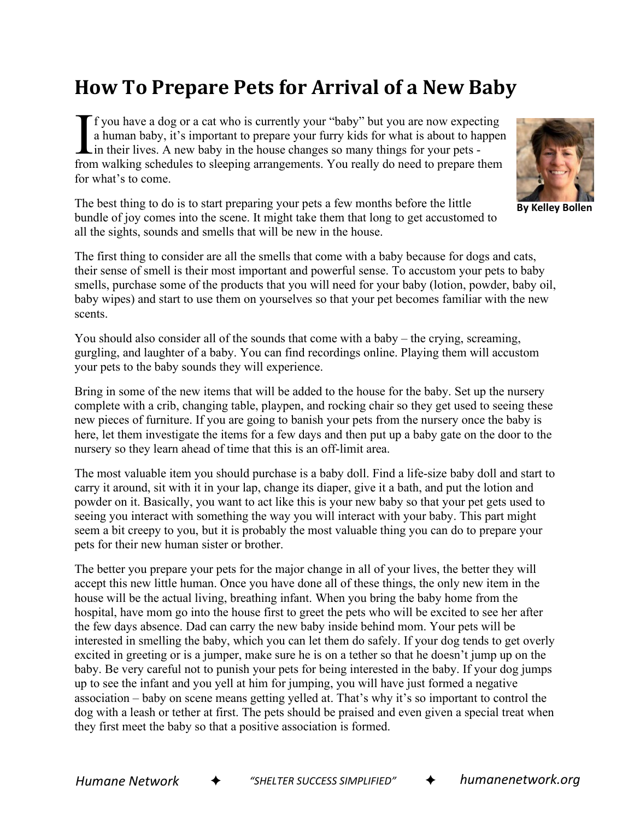## **How To Prepare Pets for Arrival of a New Baby**

f you have a dog or a cat who is currently your "baby" but you are now expecting a human baby, it's important to prepare your furry kids for what is about to happen in their lives. A new baby in the house changes so many things for your pets from walking schedules to sleeping arrangements. You really do need to prepare them for what's to come.  $\prod_{\text{from}}$ 

The best thing to do is to start preparing your pets a few months before the little bundle of joy comes into the scene. It might take them that long to get accustomed to all the sights, sounds and smells that will be new in the house.

The first thing to consider are all the smells that come with a baby because for dogs and cats, their sense of smell is their most important and powerful sense. To accustom your pets to baby smells, purchase some of the products that you will need for your baby (lotion, powder, baby oil, baby wipes) and start to use them on yourselves so that your pet becomes familiar with the new scents.

You should also consider all of the sounds that come with a baby – the crying, screaming, gurgling, and laughter of a baby. You can find recordings online. Playing them will accustom your pets to the baby sounds they will experience.

Bring in some of the new items that will be added to the house for the baby. Set up the nursery complete with a crib, changing table, playpen, and rocking chair so they get used to seeing these new pieces of furniture. If you are going to banish your pets from the nursery once the baby is here, let them investigate the items for a few days and then put up a baby gate on the door to the nursery so they learn ahead of time that this is an off-limit area.

The most valuable item you should purchase is a baby doll. Find a life-size baby doll and start to carry it around, sit with it in your lap, change its diaper, give it a bath, and put the lotion and powder on it. Basically, you want to act like this is your new baby so that your pet gets used to seeing you interact with something the way you will interact with your baby. This part might seem a bit creepy to you, but it is probably the most valuable thing you can do to prepare your pets for their new human sister or brother.

The better you prepare your pets for the major change in all of your lives, the better they will accept this new little human. Once you have done all of these things, the only new item in the house will be the actual living, breathing infant. When you bring the baby home from the hospital, have mom go into the house first to greet the pets who will be excited to see her after the few days absence. Dad can carry the new baby inside behind mom. Your pets will be interested in smelling the baby, which you can let them do safely. If your dog tends to get overly excited in greeting or is a jumper, make sure he is on a tether so that he doesn't jump up on the baby. Be very careful not to punish your pets for being interested in the baby. If your dog jumps up to see the infant and you yell at him for jumping, you will have just formed a negative association – baby on scene means getting yelled at. That's why it's so important to control the dog with a leash or tether at first. The pets should be praised and even given a special treat when they first meet the baby so that a positive association is formed.

*Humane Network* ✦ *"SHELTER SUCCESS SIMPLIFIED"* ✦ *humanenetwork.org*



**By Kelley Bollen**